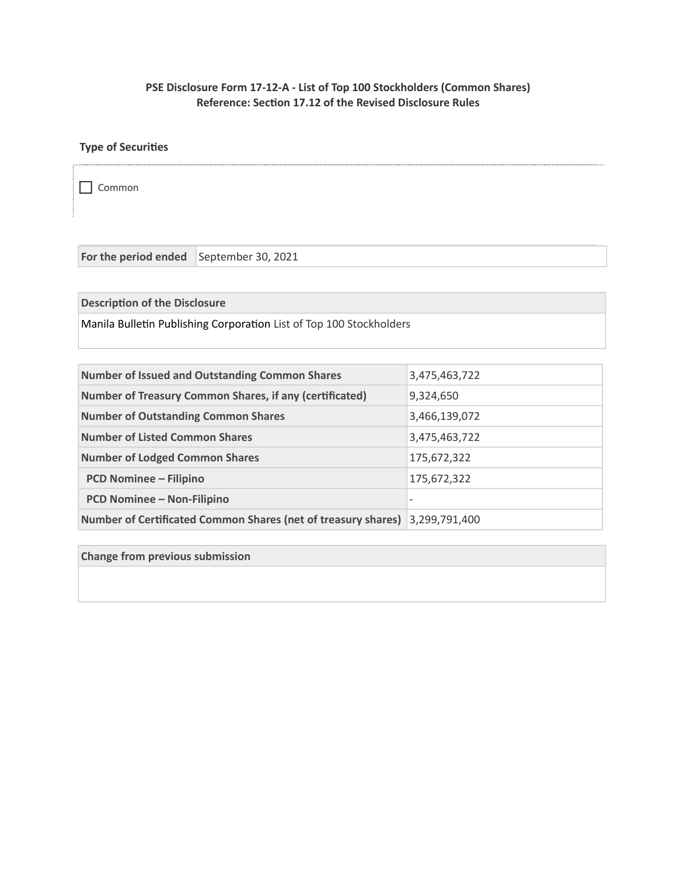# **PSE Disclosure Form 17-12-A - List of Top 100 Stockholders (Common Shares) Reference: Section 17.12 of the Revised Disclosure Rules**

. . . . . . . . . . . . . . .

## **Type of Securities**

Common

For the period ended September 30, 2021

**Description of the Disclosure**

Manila Bulletin Publishing Corporation List of Top 100 Stockholders

| <b>Number of Issued and Outstanding Common Shares</b>                | 3,475,463,722 |
|----------------------------------------------------------------------|---------------|
| <b>Number of Treasury Common Shares, if any (certificated)</b>       | 9,324,650     |
| <b>Number of Outstanding Common Shares</b>                           | 3,466,139,072 |
| <b>Number of Listed Common Shares</b>                                | 3,475,463,722 |
| <b>Number of Lodged Common Shares</b>                                | 175,672,322   |
| <b>PCD Nominee - Filipino</b>                                        | 175,672,322   |
| <b>PCD Nominee - Non-Filipino</b>                                    |               |
| <b>Number of Certificated Common Shares (net of treasury shares)</b> | 3,299,791,400 |

**Change from previous submission**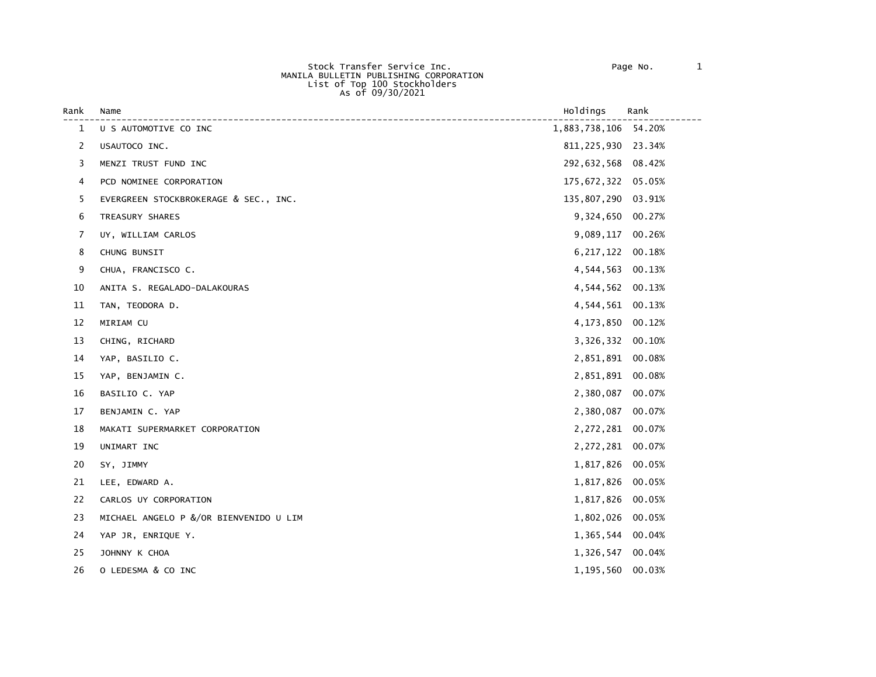Stock Transfer Service Inc. Page No. 1 MANILA BULLETIN PUBLISHING CORPORATION List of Top 100 Stockholders As of 09/30/2021

| Rank | Name                                   | Holdings             | Rank   |
|------|----------------------------------------|----------------------|--------|
| 1    | U S AUTOMOTIVE CO INC                  | 1,883,738,106 54.20% |        |
| 2    | USAUTOCO INC.                          | 811, 225, 930 23.34% |        |
| 3    | MENZI TRUST FUND INC                   | 292,632,568 08.42%   |        |
| 4    | PCD NOMINEE CORPORATION                | 175,672,322 05.05%   |        |
| 5    | EVERGREEN STOCKBROKERAGE & SEC., INC.  | 135,807,290 03.91%   |        |
| 6    | TREASURY SHARES                        | 9,324,650            | 00.27% |
| 7    | UY, WILLIAM CARLOS                     | 9,089,117            | 00.26% |
| 8    | CHUNG BUNSIT                           | 6, 217, 122          | 00.18% |
| 9    | CHUA, FRANCISCO C.                     | 4,544,563 00.13%     |        |
| 10   | ANITA S. REGALADO-DALAKOURAS           | 4,544,562            | 00.13% |
| 11   | TAN, TEODORA D.                        | 4,544,561 00.13%     |        |
| 12   | MIRIAM CU                              | 4,173,850            | 00.12% |
| 13   | CHING, RICHARD                         | 3,326,332            | 00.10% |
| 14   | YAP, BASILIO C.                        | 2,851,891 00.08%     |        |
| 15   | YAP, BENJAMIN C.                       | 2,851,891            | 00.08% |
| 16   | BASILIO C. YAP                         | 2,380,087            | 00.07% |
| 17   | BENJAMIN C. YAP                        | 2,380,087            | 00.07% |
| 18   | MAKATI SUPERMARKET CORPORATION         | 2,272,281            | 00.07% |
| 19   | UNIMART INC                            | 2,272,281 00.07%     |        |
| 20   | SY, JIMMY                              | 1,817,826 00.05%     |        |
| 21   | LEE, EDWARD A.                         | 1,817,826            | 00.05% |
| 22   | CARLOS UY CORPORATION                  | 1,817,826            | 00.05% |
| 23   | MICHAEL ANGELO P &/OR BIENVENIDO U LIM | 1,802,026            | 00.05% |
| 24   | YAP JR, ENRIQUE Y.                     | 1,365,544 00.04%     |        |
| 25   | JOHNNY K CHOA                          | 1,326,547            | 00.04% |
| 26   | O LEDESMA & CO INC                     | 1,195,560            | 00.03% |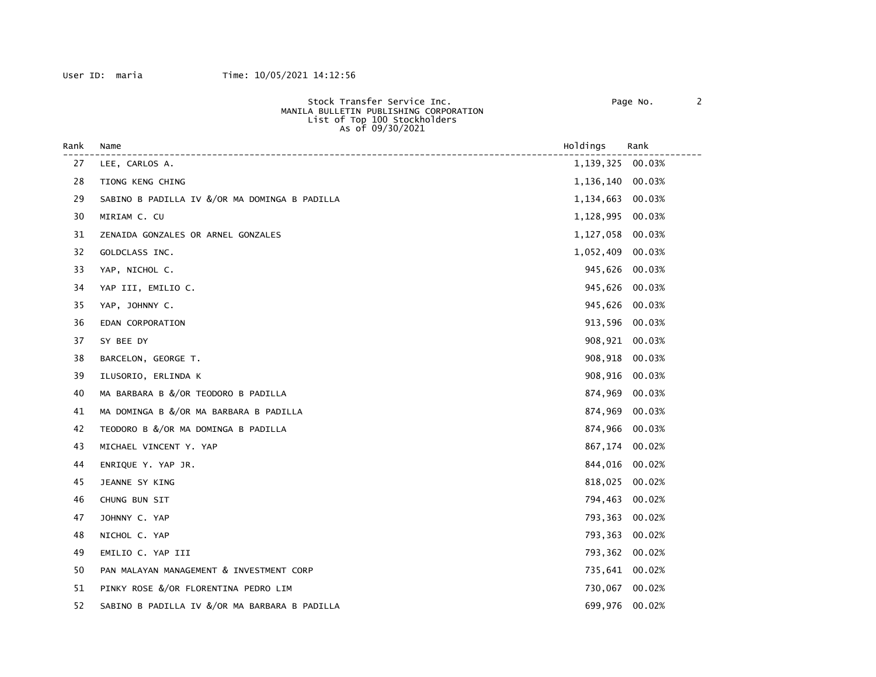| MANILA BULLETIN PUBLISHING CORPORATION                                          |
|---------------------------------------------------------------------------------|
|                                                                                 |
|                                                                                 |
| Stock Transfer Service Inc.<br>List of Top 100 Stockholders<br>As of 09/30/2021 |

| Rank | Name                                          | Holdings       | Rank   |
|------|-----------------------------------------------|----------------|--------|
| 27   | LEE, CARLOS A.                                | 1,139,325      | 00.03% |
| 28   | TIONG KENG CHING                              | 1,136,140      | 00.03% |
| 29   | SABINO B PADILLA IV &/OR MA DOMINGA B PADILLA | 1,134,663      | 00.03% |
| 30   | MIRIAM C. CU                                  | 1,128,995      | 00.03% |
| 31   | ZENAIDA GONZALES OR ARNEL GONZALES            | 1,127,058      | 00.03% |
| 32   | GOLDCLASS INC.                                | 1,052,409      | 00.03% |
| 33   | YAP, NICHOL C.                                | 945,626        | 00.03% |
| 34   | YAP III, EMILIO C.                            | 945,626        | 00.03% |
| 35   | YAP, JOHNNY C.                                | 945,626        | 00.03% |
| 36   | EDAN CORPORATION                              | 913,596 00.03% |        |
| 37   | SY BEE DY                                     | 908,921        | 00.03% |
| 38   | BARCELON, GEORGE T.                           | 908,918        | 00.03% |
| 39   | ILUSORIO, ERLINDA K                           | 908,916        | 00.03% |
| 40   | MA BARBARA B &/OR TEODORO B PADILLA           | 874,969        | 00.03% |
| 41   | MA DOMINGA B &/OR MA BARBARA B PADILLA        | 874,969        | 00.03% |
| 42   | TEODORO B &/OR MA DOMINGA B PADILLA           | 874,966        | 00.03% |
| 43   | MICHAEL VINCENT Y. YAP                        | 867,174        | 00.02% |
| 44   | ENRIQUE Y. YAP JR.                            | 844,016        | 00.02% |
| 45   | JEANNE SY KING                                | 818,025        | 00.02% |
| 46   | CHUNG BUN SIT                                 | 794,463        | 00.02% |
| 47   | JOHNNY C. YAP                                 | 793,363        | 00.02% |
| 48   | NICHOL C. YAP                                 | 793,363        | 00.02% |
| 49   | EMILIO C. YAP III                             | 793,362        | 00.02% |
| 50   | PAN MALAYAN MANAGEMENT & INVESTMENT CORP      | 735,641        | 00.02% |
| 51   | PINKY ROSE &/OR FLORENTINA PEDRO LIM          | 730,067        | 00.02% |
| 52   | SABINO B PADILLA IV &/OR MA BARBARA B PADILLA | 699,976        | 00.02% |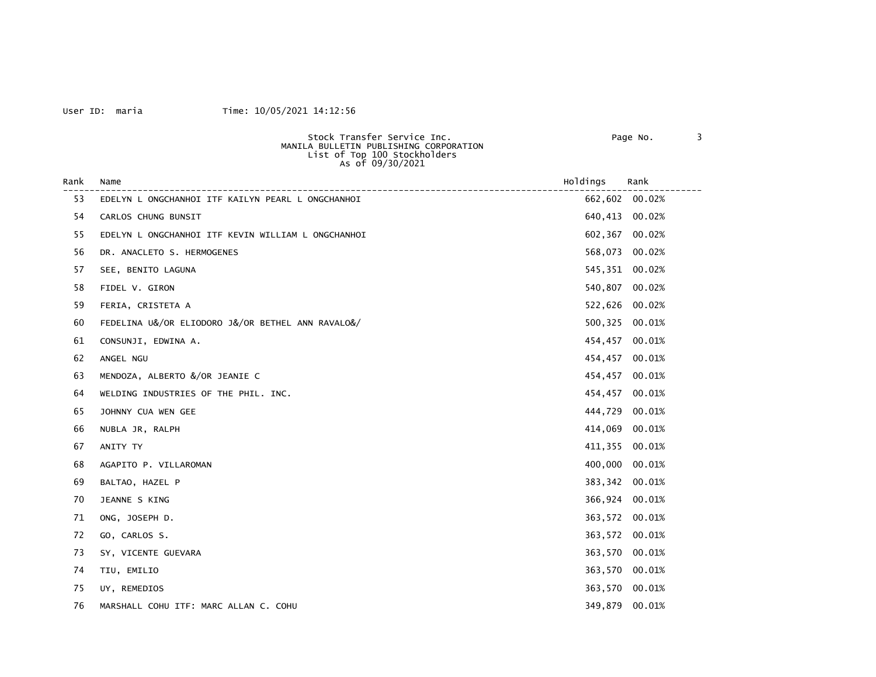## User ID: maria Time: 10/05/2021 14:12:56

| ide No. |  |
|---------|--|
|         |  |

| Stock Transfer Service Inc.            | Page No. |  |
|----------------------------------------|----------|--|
| MANILA BULLETIN PUBLISHING CORPORATION |          |  |
| List of Top 100 Stockholders           |          |  |
| As of 09/30/2021                       |          |  |

| Rank | Name<br>-----------------------------------        | Holdings | Rank           |
|------|----------------------------------------------------|----------|----------------|
| 53   | EDELYN L ONGCHANHOI ITF KAILYN PEARL L ONGCHANHOI  | 662,602  | 00.02%         |
| 54   | CARLOS CHUNG BUNSIT                                | 640,413  | 00.02%         |
| 55   | EDELYN L ONGCHANHOI ITF KEVIN WILLIAM L ONGCHANHOI | 602,367  | 00.02%         |
| 56   | DR. ANACLETO S. HERMOGENES                         | 568,073  | 00.02%         |
| 57   | SEE, BENITO LAGUNA                                 | 545,351  | 00.02%         |
| 58   | FIDEL V. GIRON                                     | 540,807  | 00.02%         |
| 59   | FERIA, CRISTETA A                                  | 522,626  | 00.02%         |
| 60   | FEDELINA U&/OR ELIODORO J&/OR BETHEL ANN RAVALO&/  | 500,325  | 00.01%         |
| 61   | CONSUNJI, EDWINA A.                                | 454,457  | 00.01%         |
| 62   | ANGEL NGU                                          | 454,457  | 00.01%         |
| 63   | MENDOZA, ALBERTO &/OR JEANIE C                     | 454,457  | 00.01%         |
| 64   | WELDING INDUSTRIES OF THE PHIL. INC.               | 454,457  | 00.01%         |
| 65   | JOHNNY CUA WEN GEE                                 | 444,729  | 00.01%         |
| 66   | NUBLA JR, RALPH                                    | 414,069  | 00.01%         |
| 67   | ANITY TY                                           | 411,355  | 00.01%         |
| 68   | AGAPITO P. VILLAROMAN                              | 400,000  | 00.01%         |
| 69   | BALTAO, HAZEL P                                    | 383,342  | 00.01%         |
| 70   | JEANNE S KING                                      | 366,924  | 00.01%         |
| 71   | ONG, JOSEPH D.                                     | 363,572  | 00.01%         |
| 72   | GO, CARLOS S.                                      | 363,572  | 00.01%         |
| 73   | SY, VICENTE GUEVARA                                | 363,570  | 00.01%         |
| 74   | TIU, EMILIO                                        | 363,570  | 00.01%         |
| 75   | UY, REMEDIOS                                       |          | 363,570 00.01% |
| 76   | MARSHALL COHU ITF: MARC ALLAN C. COHU              |          | 349,879 00.01% |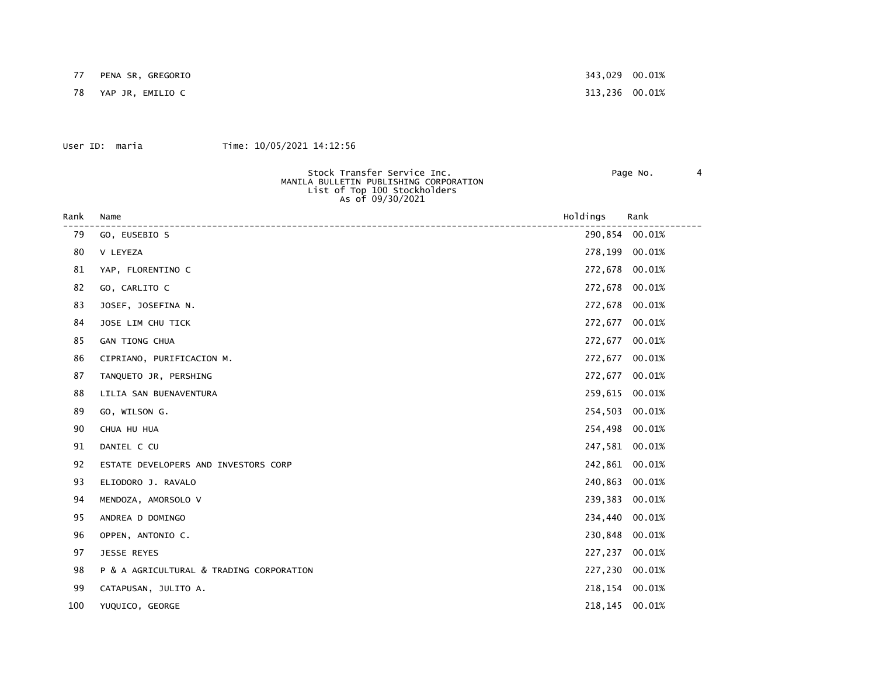77 PENA SR, GREGORIO 343,029 00.01%

78 YAP JR, EMILIO C 313,236 00.01%

#### User ID: maria Time: 10/05/2021 14:12:56

| Stock Transfer Service Inc.<br>MANILA BULLETIN PUBLISHING CORPORATION<br>List of Top 100 Stockholders<br>As of 09/30/2021 | Page No. |  |
|---------------------------------------------------------------------------------------------------------------------------|----------|--|
|                                                                                                                           |          |  |

| Rank | Name                                     | Holdings | Rank           |
|------|------------------------------------------|----------|----------------|
| 79   | GO, EUSEBIO S                            |          | 290,854 00.01% |
| 80   | V LEYEZA                                 | 278,199  | 00.01%         |
| 81   | YAP, FLORENTINO C                        | 272,678  | 00.01%         |
| 82   | GO, CARLITO C                            | 272,678  | 00.01%         |
| 83   | JOSEF, JOSEFINA N.                       | 272,678  | 00.01%         |
| 84   | JOSE LIM CHU TICK                        | 272,677  | 00.01%         |
| 85   | GAN TIONG CHUA                           | 272,677  | 00.01%         |
| 86   | CIPRIANO, PURIFICACION M.                | 272,677  | 00.01%         |
| 87   | TANQUETO JR, PERSHING                    | 272,677  | 00.01%         |
| 88   | LILIA SAN BUENAVENTURA                   | 259,615  | 00.01%         |
| 89   | GO, WILSON G.                            | 254,503  | 00.01%         |
| 90   | CHUA HU HUA                              | 254,498  | 00.01%         |
| 91   | DANIEL C CU                              | 247,581  | 00.01%         |
| 92   | ESTATE DEVELOPERS AND INVESTORS CORP     | 242,861  | 00.01%         |
| 93   | ELIODORO J. RAVALO                       | 240,863  | 00.01%         |
| 94   | MENDOZA, AMORSOLO V                      | 239,383  | 00.01%         |
| 95   | ANDREA D DOMINGO                         | 234,440  | 00.01%         |
| 96   | OPPEN, ANTONIO C.                        | 230,848  | 00.01%         |
| 97   | JESSE REYES                              | 227,237  | 00.01%         |
| 98   | P & A AGRICULTURAL & TRADING CORPORATION | 227,230  | 00.01%         |
| 99   | CATAPUSAN, JULITO A.                     | 218,154  | 00.01%         |
| 100  | YUQUICO, GEORGE                          | 218,145  | 00.01%         |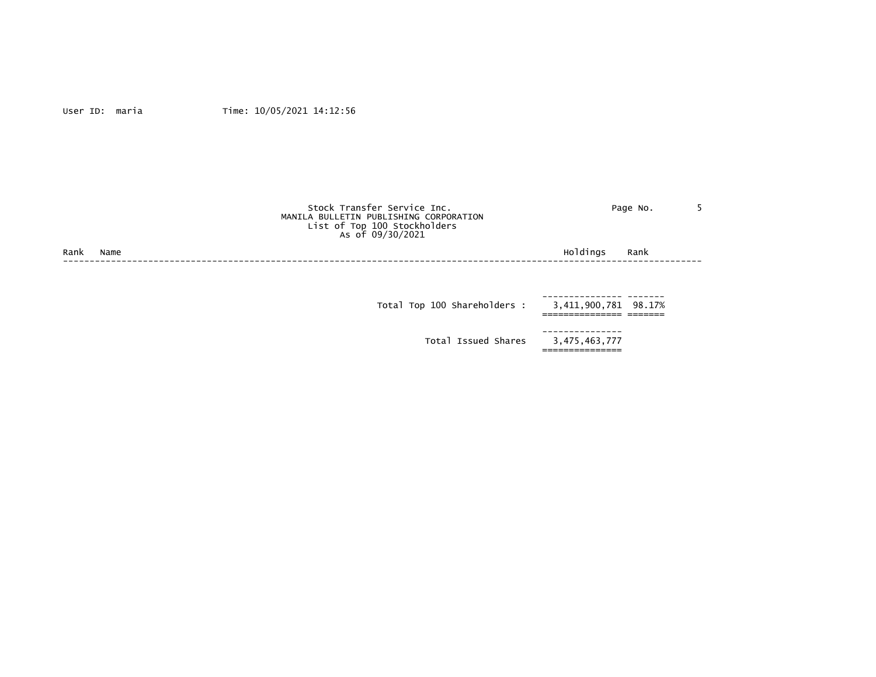|      |      | Stock Transfer Service Inc.<br>MANILA BULLETIN PUBLISHING CORPORATION<br>List of Top 100 Stockholders<br>As of 09/30/2021 | Page No.             |  |
|------|------|---------------------------------------------------------------------------------------------------------------------------|----------------------|--|
| Rank | Name | Holdings                                                                                                                  | Rank                 |  |
|      |      | Total Top 100 Shareholders :                                                                                              | 3,411,900,781 98.17% |  |

---------------

3,475,463,777<br>================

Total Issued Shares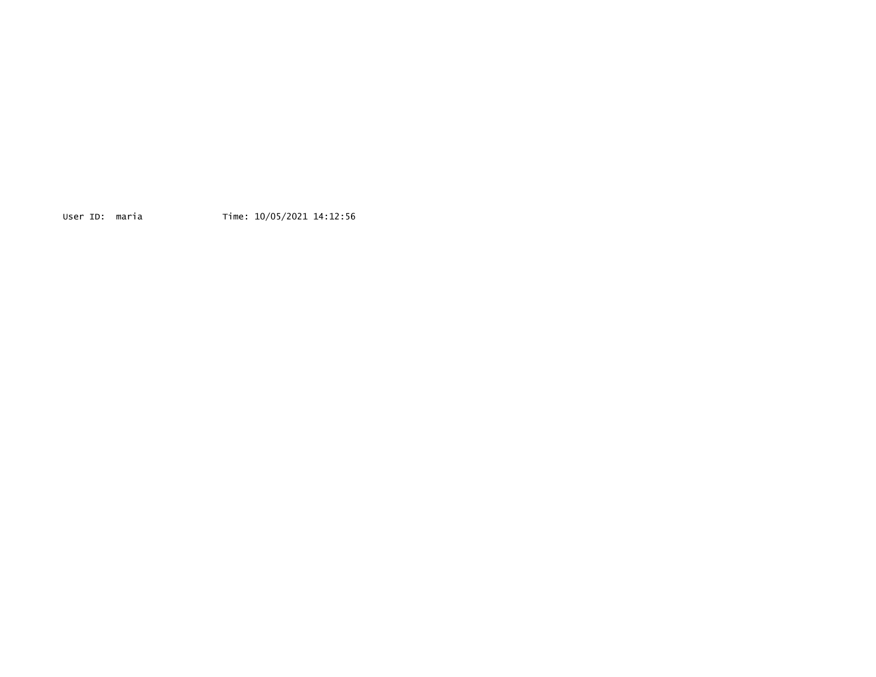User ID: maria Time: 10/05/2021 14:12:56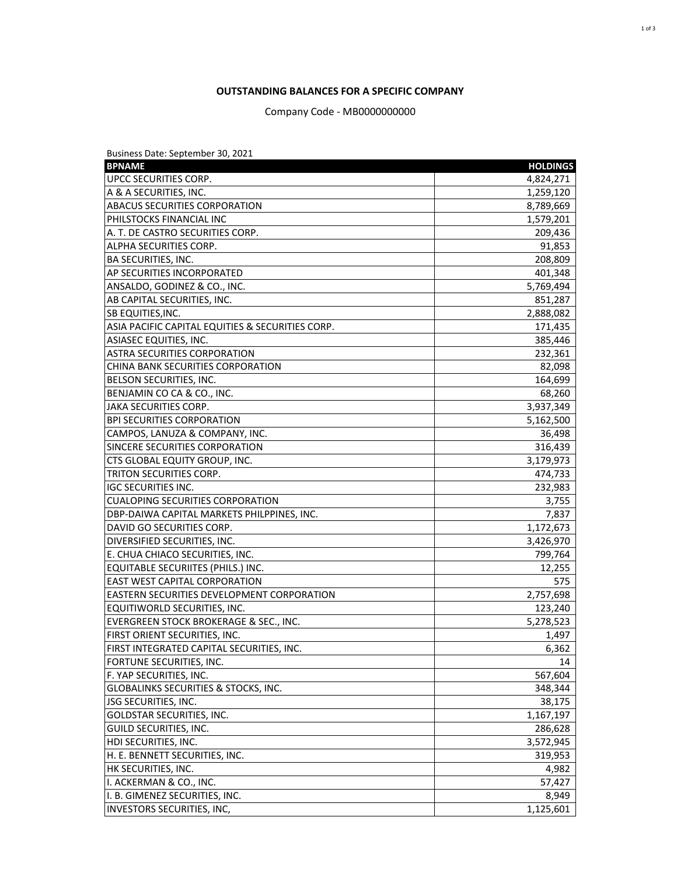# **OUTSTANDING BALANCES FOR A SPECIFIC COMPANY**

Company Code - MB0000000000

| Business Date: September 30, 2021                 |                 |
|---------------------------------------------------|-----------------|
| <b>BPNAME</b>                                     | <b>HOLDINGS</b> |
| UPCC SECURITIES CORP.                             | 4,824,271       |
| A & A SECURITIES, INC.                            | 1,259,120       |
| <b>ABACUS SECURITIES CORPORATION</b>              | 8,789,669       |
| PHILSTOCKS FINANCIAL INC                          | 1,579,201       |
| A. T. DE CASTRO SECURITIES CORP.                  | 209,436         |
| ALPHA SECURITIES CORP.                            | 91,853          |
| <b>BA SECURITIES, INC.</b>                        | 208,809         |
| AP SECURITIES INCORPORATED                        | 401,348         |
| ANSALDO, GODINEZ & CO., INC.                      | 5,769,494       |
| AB CAPITAL SECURITIES, INC.                       | 851,287         |
| <b>SB EQUITIES, INC.</b>                          | 2,888,082       |
| ASIA PACIFIC CAPITAL EQUITIES & SECURITIES CORP.  | 171,435         |
| ASIASEC EQUITIES, INC.                            | 385,446         |
| <b>ASTRA SECURITIES CORPORATION</b>               | 232,361         |
| CHINA BANK SECURITIES CORPORATION                 | 82,098          |
| BELSON SECURITIES, INC.                           | 164,699         |
| BENJAMIN CO CA & CO., INC.                        | 68,260          |
| JAKA SECURITIES CORP.                             | 3,937,349       |
| <b>BPI SECURITIES CORPORATION</b>                 | 5,162,500       |
| CAMPOS, LANUZA & COMPANY, INC.                    | 36,498          |
| SINCERE SECURITIES CORPORATION                    | 316,439         |
| CTS GLOBAL EQUITY GROUP, INC.                     | 3,179,973       |
| TRITON SECURITIES CORP.                           | 474,733         |
| <b>IGC SECURITIES INC.</b>                        | 232,983         |
| <b>CUALOPING SECURITIES CORPORATION</b>           | 3,755           |
| DBP-DAIWA CAPITAL MARKETS PHILPPINES, INC.        | 7,837           |
| DAVID GO SECURITIES CORP.                         | 1,172,673       |
| DIVERSIFIED SECURITIES, INC.                      | 3,426,970       |
| E. CHUA CHIACO SECURITIES, INC.                   | 799,764         |
| EQUITABLE SECURIITES (PHILS.) INC.                | 12,255          |
| <b>EAST WEST CAPITAL CORPORATION</b>              | 575             |
| <b>EASTERN SECURITIES DEVELOPMENT CORPORATION</b> | 2,757,698       |
| EQUITIWORLD SECURITIES, INC.                      | 123,240         |
| EVERGREEN STOCK BROKERAGE & SEC., INC.            | 5,278,523       |
| <b>FIRST ORIENT SECURITIES, INC.</b>              | 1,497           |
| FIRST INTEGRATED CAPITAL SECURITIES, INC.         | 6,362           |
| FORTUNE SECURITIES, INC.                          | 14              |
| F. YAP SECURITIES, INC.                           | 567,604         |
| <b>GLOBALINKS SECURITIES &amp; STOCKS, INC.</b>   | 348,344         |
| JSG SECURITIES, INC.                              | 38,175          |
| <b>GOLDSTAR SECURITIES, INC.</b>                  | 1,167,197       |
| GUILD SECURITIES, INC.                            | 286,628         |
| HDI SECURITIES, INC.                              | 3,572,945       |
| H. E. BENNETT SECURITIES, INC.                    | 319,953         |
| HK SECURITIES, INC.                               | 4,982           |
| I. ACKERMAN & CO., INC.                           | 57,427          |
| I. B. GIMENEZ SECURITIES, INC.                    | 8,949           |
| INVESTORS SECURITIES, INC,                        | 1,125,601       |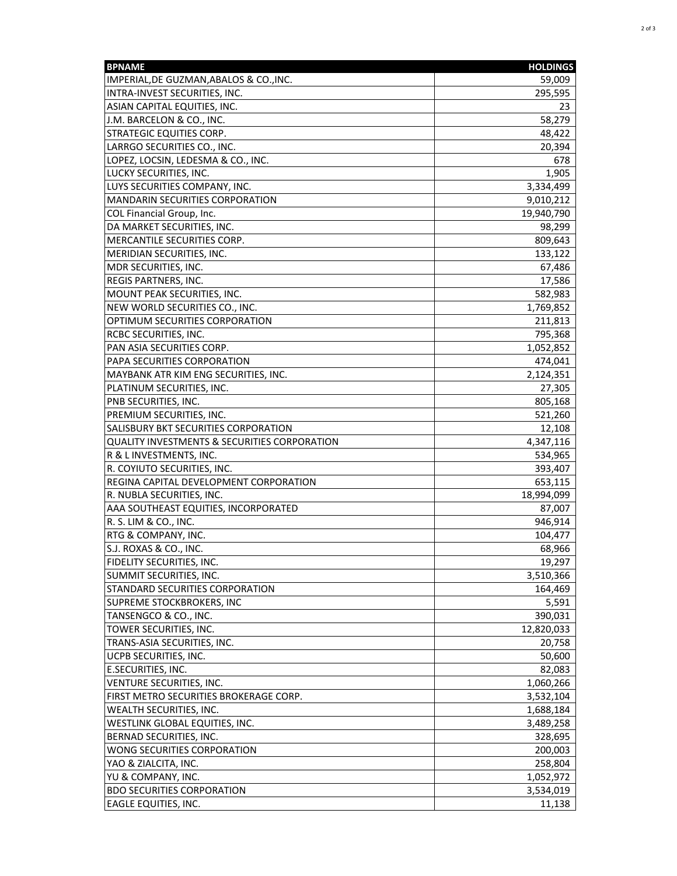| <b>BPNAME</b>                                | <b>HOLDINGS</b> |
|----------------------------------------------|-----------------|
| IMPERIAL, DE GUZMAN, ABALOS & CO., INC.      | 59,009          |
| INTRA-INVEST SECURITIES, INC.                | 295,595         |
| ASIAN CAPITAL EQUITIES, INC.                 | 23              |
| J.M. BARCELON & CO., INC.                    | 58,279          |
| <b>STRATEGIC EQUITIES CORP.</b>              | 48,422          |
| LARRGO SECURITIES CO., INC.                  | 20,394          |
| LOPEZ, LOCSIN, LEDESMA & CO., INC.           | 678             |
| LUCKY SECURITIES, INC.                       | 1,905           |
| LUYS SECURITIES COMPANY, INC.                | 3,334,499       |
| MANDARIN SECURITIES CORPORATION              | 9,010,212       |
| COL Financial Group, Inc.                    | 19,940,790      |
| DA MARKET SECURITIES, INC.                   | 98,299          |
| MERCANTILE SECURITIES CORP.                  | 809,643         |
| MERIDIAN SECURITIES, INC.                    | 133,122         |
| MDR SECURITIES, INC.                         | 67,486          |
| REGIS PARTNERS, INC.                         | 17,586          |
| MOUNT PEAK SECURITIES, INC.                  | 582,983         |
| NEW WORLD SECURITIES CO., INC.               | 1,769,852       |
| OPTIMUM SECURITIES CORPORATION               | 211,813         |
| <b>RCBC SECURITIES, INC.</b>                 | 795,368         |
| PAN ASIA SECURITIES CORP.                    | 1,052,852       |
| PAPA SECURITIES CORPORATION                  | 474,041         |
| MAYBANK ATR KIM ENG SECURITIES, INC.         | 2,124,351       |
| PLATINUM SECURITIES, INC.                    | 27,305          |
| PNB SECURITIES, INC.                         | 805,168         |
| PREMIUM SECURITIES, INC.                     | 521,260         |
| SALISBURY BKT SECURITIES CORPORATION         | 12,108          |
| QUALITY INVESTMENTS & SECURITIES CORPORATION | 4,347,116       |
| R & L INVESTMENTS, INC.                      | 534,965         |
| R. COYIUTO SECURITIES, INC.                  | 393,407         |
| REGINA CAPITAL DEVELOPMENT CORPORATION       | 653,115         |
| R. NUBLA SECURITIES, INC.                    | 18,994,099      |
| AAA SOUTHEAST EQUITIES, INCORPORATED         | 87,007          |
| R. S. LIM & CO., INC.                        | 946,914         |
| RTG & COMPANY, INC.                          | 104,477         |
| S.J. ROXAS & CO., INC.                       | 68,966          |
| FIDELITY SECURITIES, INC.                    | 19,297          |
| SUMMIT SECURITIES, INC.                      | 3,510,366       |
| STANDARD SECURITIES CORPORATION              | 164,469         |
| SUPREME STOCKBROKERS, INC                    | 5,591           |
| TANSENGCO & CO., INC.                        | 390,031         |
| TOWER SECURITIES, INC.                       | 12,820,033      |
| TRANS-ASIA SECURITIES, INC.                  | 20,758          |
| UCPB SECURITIES, INC.                        | 50,600          |
| E.SECURITIES, INC.                           | 82,083          |
| VENTURE SECURITIES, INC.                     | 1,060,266       |
| FIRST METRO SECURITIES BROKERAGE CORP.       | 3,532,104       |
| WEALTH SECURITIES, INC.                      | 1,688,184       |
| WESTLINK GLOBAL EQUITIES, INC.               | 3,489,258       |
| BERNAD SECURITIES, INC.                      | 328,695         |
| WONG SECURITIES CORPORATION                  | 200,003         |
| YAO & ZIALCITA, INC.                         | 258,804         |
| YU & COMPANY, INC.                           | 1,052,972       |
| <b>BDO SECURITIES CORPORATION</b>            | 3,534,019       |
| <b>EAGLE EQUITIES, INC.</b>                  | 11,138          |
|                                              |                 |